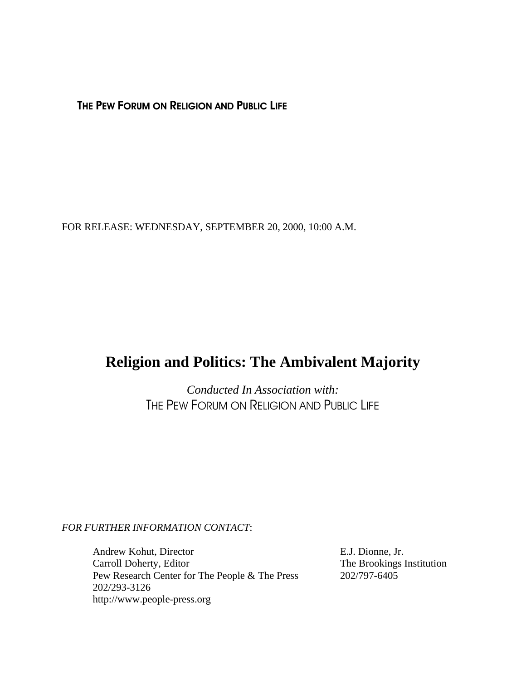THE PEW FORUM ON RELIGION AND PUBLIC LIFE

FOR RELEASE: WEDNESDAY, SEPTEMBER 20, 2000, 10:00 A.M.

## **Religion and Politics: The Ambivalent Majority**

*Conducted In Association with:* THE PEW FORUM ON RELIGION AND PUBLIC LIFE

## *FOR FURTHER INFORMATION CONTACT*:

Andrew Kohut, Director E.J. Dionne, Jr. Carroll Doherty, Editor The Brookings Institution Pew Research Center for The People & The Press 202/797-6405 202/293-3126 http://www.people-press.org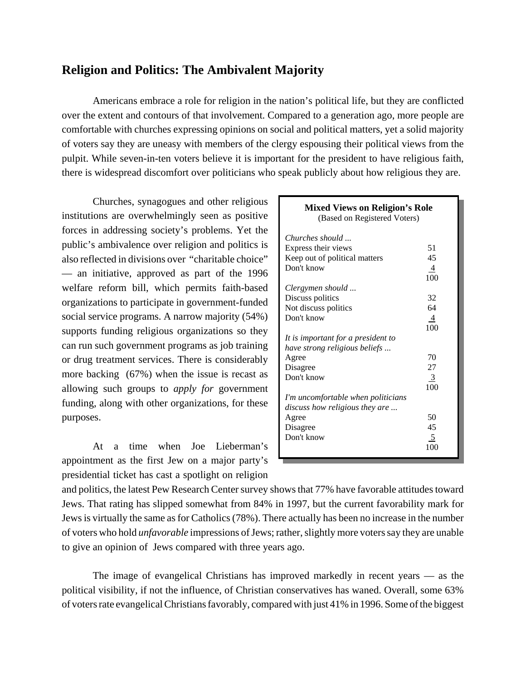## **Religion and Politics: The Ambivalent Majority**

Americans embrace a role for religion in the nation's political life, but they are conflicted over the extent and contours of that involvement. Compared to a generation ago, more people are comfortable with churches expressing opinions on social and political matters, yet a solid majority of voters say they are uneasy with members of the clergy espousing their political views from the pulpit. While seven-in-ten voters believe it is important for the president to have religious faith, there is widespread discomfort over politicians who speak publicly about how religious they are.

Churches, synagogues and other religious institutions are overwhelmingly seen as positive forces in addressing society's problems. Yet the public's ambivalence over religion and politics is also reflected in divisions over "charitable choice" — an initiative, approved as part of the 1996 welfare reform bill, which permits faith-based organizations to participate in government-funded social service programs. A narrow majority (54%) supports funding religious organizations so they can run such government programs as job training or drug treatment services. There is considerably more backing (67%) when the issue is recast as allowing such groups to *apply for* government funding, along with other organizations, for these purposes.

At a time when Joe Lieberman's appointment as the first Jew on a major party's presidential ticket has cast a spotlight on religion

| <b>Mixed Views on Religion's Role</b><br>(Based on Registered Voters) |                |
|-----------------------------------------------------------------------|----------------|
| Churches should                                                       |                |
| Express their views                                                   | 51             |
| Keep out of political matters                                         | 45             |
| Don't know                                                            | $\overline{4}$ |
|                                                                       | 100            |
| Clergymen should                                                      |                |
| Discuss politics                                                      | 32             |
| Not discuss politics                                                  | 64             |
| Don't know                                                            | $\overline{4}$ |
|                                                                       | 100            |
| It is important for a president to                                    |                |
| have strong religious beliefs                                         |                |
| Agree                                                                 | 70             |
| Disagree                                                              | 27             |
| Don't know                                                            | 3              |
|                                                                       | 100            |
| I'm uncomfortable when politicians                                    |                |
| discuss how religious they are                                        |                |
| Agree                                                                 | 50             |
| Disagree                                                              | 45             |
| Don't know                                                            | 5              |
|                                                                       | 100            |

and politics, the latest Pew Research Center survey shows that 77% have favorable attitudes toward Jews. That rating has slipped somewhat from 84% in 1997, but the current favorability mark for Jews is virtually the same as for Catholics (78%). There actually has been no increase in the number of voters who hold *unfavorable* impressions of Jews; rather, slightly more voters say they are unable to give an opinion of Jews compared with three years ago.

The image of evangelical Christians has improved markedly in recent years — as the political visibility, if not the influence, of Christian conservatives has waned. Overall, some 63% of voters rate evangelical Christians favorably, compared with just 41% in 1996. Some of the biggest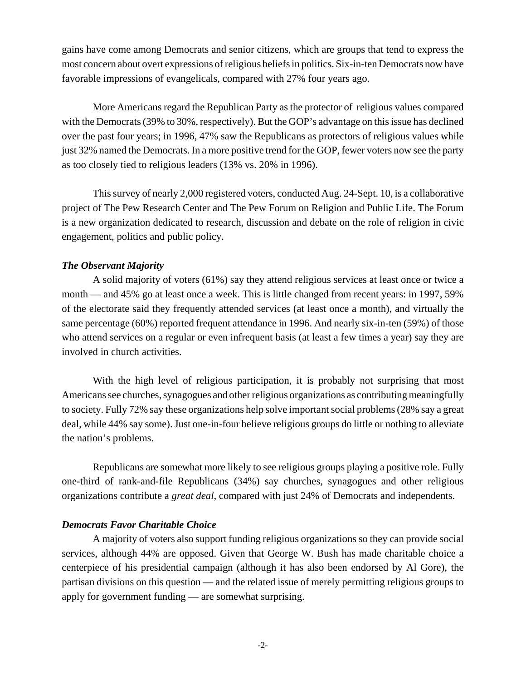gains have come among Democrats and senior citizens, which are groups that tend to express the most concern about overt expressions of religious beliefs in politics. Six-in-ten Democrats now have favorable impressions of evangelicals, compared with 27% four years ago.

More Americans regard the Republican Party as the protector of religious values compared with the Democrats (39% to 30%, respectively). But the GOP's advantage on this issue has declined over the past four years; in 1996, 47% saw the Republicans as protectors of religious values while just 32% named the Democrats. In a more positive trend for the GOP, fewer voters now see the party as too closely tied to religious leaders (13% vs. 20% in 1996).

This survey of nearly 2,000 registered voters, conducted Aug. 24-Sept. 10, is a collaborative project of The Pew Research Center and The Pew Forum on Religion and Public Life. The Forum is a new organization dedicated to research, discussion and debate on the role of religion in civic engagement, politics and public policy.

## *The Observant Majority*

A solid majority of voters (61%) say they attend religious services at least once or twice a month — and 45% go at least once a week. This is little changed from recent years: in 1997, 59% of the electorate said they frequently attended services (at least once a month), and virtually the same percentage (60%) reported frequent attendance in 1996. And nearly six-in-ten (59%) of those who attend services on a regular or even infrequent basis (at least a few times a year) say they are involved in church activities.

With the high level of religious participation, it is probably not surprising that most Americans see churches, synagogues and other religious organizations as contributing meaningfully to society. Fully 72% say these organizations help solve important social problems (28% say a great deal, while 44% say some). Just one-in-four believe religious groups do little or nothing to alleviate the nation's problems.

Republicans are somewhat more likely to see religious groups playing a positive role. Fully one-third of rank-and-file Republicans (34%) say churches, synagogues and other religious organizations contribute a *great deal*, compared with just 24% of Democrats and independents.

## *Democrats Favor Charitable Choice*

A majority of voters also support funding religious organizations so they can provide social services, although 44% are opposed. Given that George W. Bush has made charitable choice a centerpiece of his presidential campaign (although it has also been endorsed by Al Gore), the partisan divisions on this question — and the related issue of merely permitting religious groups to apply for government funding — are somewhat surprising.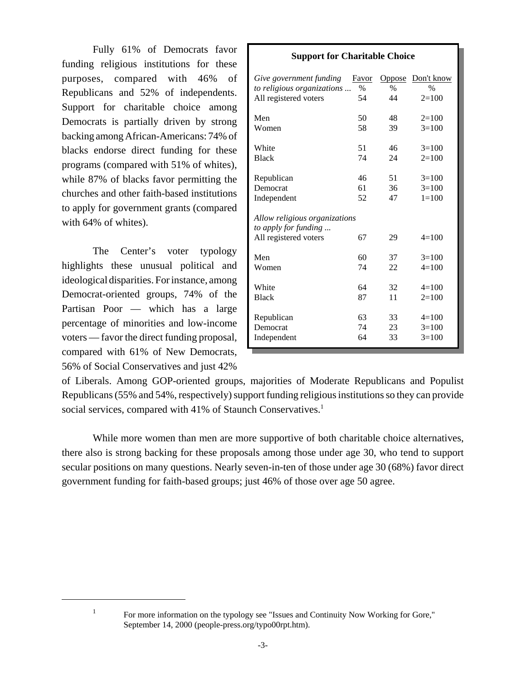Fully 61% of Democrats favor funding religious institutions for these purposes, compared with 46% of Republicans and 52% of independents. Support for charitable choice among Democrats is partially driven by strong backing among African-Americans: 74% of blacks endorse direct funding for these programs (compared with 51% of whites), while 87% of blacks favor permitting the churches and other faith-based institutions to apply for government grants (compared with 64% of whites).

The Center's voter typology highlights these unusual political and ideological disparities. For instance, among Democrat-oriented groups, 74% of the Partisan Poor — which has a large percentage of minorities and low-income voters — favor the direct funding proposal, compared with 61% of New Democrats, 56% of Social Conservatives and just 42%

| oupport for Unaritable Undice                         |               |        |            |  |  |  |  |
|-------------------------------------------------------|---------------|--------|------------|--|--|--|--|
| Give government funding                               | Favor         | Oppose | Don't know |  |  |  |  |
| to religious organizations                            | $\frac{0}{0}$ | $\%$   | $\%$       |  |  |  |  |
| All registered voters                                 | 54            | 44     | $2=100$    |  |  |  |  |
| Men                                                   | 50            | 48     | $2=100$    |  |  |  |  |
| Women                                                 | 58            | 39     | $3=100$    |  |  |  |  |
| White                                                 | 51            | 46     | $3=100$    |  |  |  |  |
| <b>Black</b>                                          | 74            | 24     | $2=100$    |  |  |  |  |
| Republican                                            | 46            | 51     | $3=100$    |  |  |  |  |
| Democrat                                              | 61            | 36     | $3=100$    |  |  |  |  |
| Independent                                           | 52            | 47     | $1 = 100$  |  |  |  |  |
| Allow religious organizations<br>to apply for funding |               |        |            |  |  |  |  |
| All registered voters                                 | 67            | 29     | $4=100$    |  |  |  |  |
| Men                                                   | 60            | 37     | $3=100$    |  |  |  |  |
| Women                                                 | 74            | 22     | $4=100$    |  |  |  |  |
| White                                                 | 64            | 32     | $4=100$    |  |  |  |  |
| <b>Black</b>                                          | 87            | 11     | $2=100$    |  |  |  |  |
| Republican                                            | 63            | 33     | $4=100$    |  |  |  |  |
| Democrat                                              | 74            | 23     | $3=100$    |  |  |  |  |
| Independent                                           | 64            | 33     | $3=100$    |  |  |  |  |

**Support for Charitable Choice**

of Liberals. Among GOP-oriented groups, majorities of Moderate Republicans and Populist Republicans (55% and 54%, respectively) support funding religious institutions so they can provide social services, compared with 41% of Staunch Conservatives.<sup>1</sup>

While more women than men are more supportive of both charitable choice alternatives, there also is strong backing for these proposals among those under age 30, who tend to support secular positions on many questions. Nearly seven-in-ten of those under age 30 (68%) favor direct government funding for faith-based groups; just 46% of those over age 50 agree.

<sup>&</sup>lt;sup>1</sup> For more information on the typology see "Issues and Continuity Now Working for Gore," September 14, 2000 (people-press.org/typo00rpt.htm).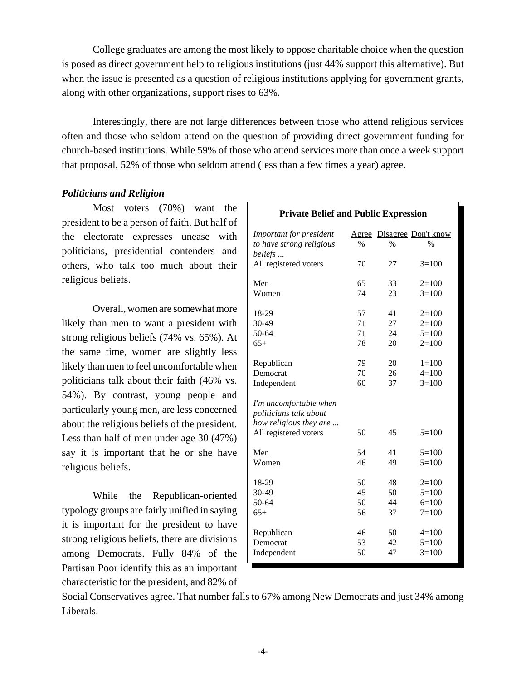College graduates are among the most likely to oppose charitable choice when the question is posed as direct government help to religious institutions (just 44% support this alternative). But when the issue is presented as a question of religious institutions applying for government grants, along with other organizations, support rises to 63%.

Interestingly, there are not large differences between those who attend religious services often and those who seldom attend on the question of providing direct government funding for church-based institutions. While 59% of those who attend services more than once a week support that proposal, 52% of those who seldom attend (less than a few times a year) agree.

## *Politicians and Religion*

Most voters (70%) want the president to be a person of faith. But half of the electorate expresses unease with politicians, presidential contenders and others, who talk too much about their religious beliefs.

Overall, women are somewhat more likely than men to want a president with strong religious beliefs (74% vs. 65%). At the same time, women are slightly less likely than men to feel uncomfortable when politicians talk about their faith (46% vs. 54%). By contrast, young people and particularly young men, are less concerned about the religious beliefs of the president. Less than half of men under age 30 (47%) say it is important that he or she have religious beliefs.

While the Republican-oriented typology groups are fairly unified in saying it is important for the president to have strong religious beliefs, there are divisions among Democrats. Fully 84% of the Partisan Poor identify this as an important characteristic for the president, and 82% of

| <b>Private Belief and Public Expression</b>                                |       |               |                     |  |  |  |  |
|----------------------------------------------------------------------------|-------|---------------|---------------------|--|--|--|--|
| Important for president                                                    | Agree |               | Disagree Don't know |  |  |  |  |
| to have strong religious<br>beliefs                                        | $\%$  | $\frac{0}{0}$ | $\frac{0}{0}$       |  |  |  |  |
| All registered voters                                                      | 70    | 27            | $3=100$             |  |  |  |  |
| Men                                                                        | 65    | 33            | $2=100$             |  |  |  |  |
| Women                                                                      | 74    | 23            | $3=100$             |  |  |  |  |
| 18-29                                                                      | 57    | 41            | $2=100$             |  |  |  |  |
| 30-49                                                                      | 71    | 27            | $2=100$             |  |  |  |  |
| 50-64                                                                      | 71    | 24            | $5=100$             |  |  |  |  |
| $65+$                                                                      | 78    | 20            | $2=100$             |  |  |  |  |
| Republican                                                                 | 79    | 20            | $1 = 100$           |  |  |  |  |
| Democrat                                                                   | 70    | 26            | $4 = 100$           |  |  |  |  |
| Independent                                                                | 60    | 37            | $3=100$             |  |  |  |  |
| I'm uncomfortable when<br>politicians talk about<br>how religious they are |       |               |                     |  |  |  |  |
| All registered voters                                                      | 50    | 45            | $5=100$             |  |  |  |  |
| Men                                                                        | 54    | 41            | $5=100$             |  |  |  |  |
| Women                                                                      | 46    | 49            | $5 = 100$           |  |  |  |  |
| 18-29                                                                      | 50    | 48            | $2=100$             |  |  |  |  |
| 30-49                                                                      | 45    | 50            | $5 = 100$           |  |  |  |  |
| 50-64                                                                      | 50    | 44            | $6=100$             |  |  |  |  |
| $65+$                                                                      | 56    | 37            | $7=100$             |  |  |  |  |
| Republican                                                                 | 46    | 50            | $4=100$             |  |  |  |  |
| Democrat                                                                   | 53    | 42            | $5=100$             |  |  |  |  |
| Independent                                                                | 50    | 47            | $3=100$             |  |  |  |  |

Social Conservatives agree. That number falls to 67% among New Democrats and just 34% among Liberals.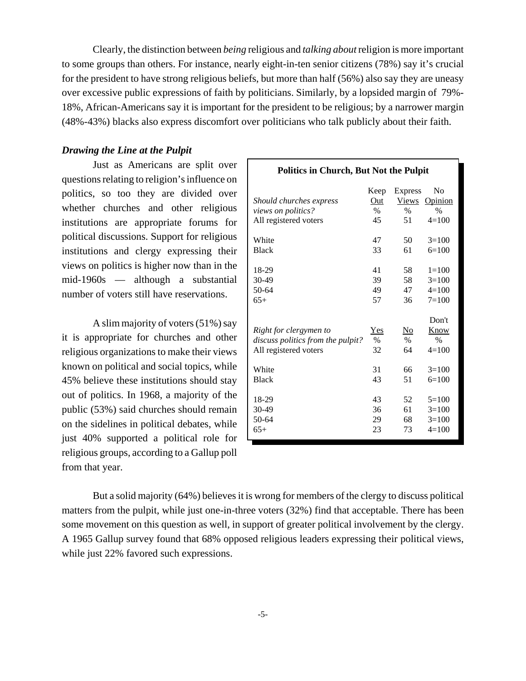Clearly, the distinction between *being* religious and *talking about* religion is more important to some groups than others. For instance, nearly eight-in-ten senior citizens (78%) say it's crucial for the president to have strong religious beliefs, but more than half (56%) also say they are uneasy over excessive public expressions of faith by politicians. Similarly, by a lopsided margin of 79%- 18%, African-Americans say it is important for the president to be religious; by a narrower margin (48%-43%) blacks also express discomfort over politicians who talk publicly about their faith.

#### *Drawing the Line at the Pulpit*

Just as Americans are split over questions relating to religion's influence on politics, so too they are divided over whether churches and other religious institutions are appropriate forums for political discussions. Support for religious institutions and clergy expressing their views on politics is higher now than in the mid-1960s — although a substantial number of voters still have reservations.

A slim majority of voters (51%) say it is appropriate for churches and other religious organizations to make their views known on political and social topics, while 45% believe these institutions should stay out of politics. In 1968, a majority of the public (53%) said churches should remain on the sidelines in political debates, while just 40% supported a political role for religious groups, according to a Gallup poll from that year.

|                                   | Keep          | <b>Express</b> | No             |
|-----------------------------------|---------------|----------------|----------------|
| Should churches express           | Out           | <b>Views</b>   | <b>Opinion</b> |
| views on politics?                | $\frac{0}{0}$ | $\frac{0}{0}$  | $\frac{0}{0}$  |
| All registered voters             | 45            | 51             | $4 = 100$      |
| White                             | 47            | 50             | $3=100$        |
| <b>Black</b>                      | 33            | 61             | $6=100$        |
| 18-29                             | 41            | 58             | $1 = 100$      |
| 30-49                             | 39            | 58             | $3=100$        |
| 50-64                             | 49            | 47             | $4=100$        |
| $65+$                             | 57            | 36             | $7 = 100$      |
|                                   |               |                | Don't          |
| Right for clergymen to            | Yes           | <u>No</u>      | Know           |
| discuss politics from the pulpit? | $\%$          | $\frac{0}{0}$  | $\frac{0}{0}$  |
| All registered voters             | 32            | 64             | $4=100$        |
| White                             | 31            | 66             | $3=100$        |
| <b>Black</b>                      | 43            | 51             | $6=100$        |
| 18-29                             | 43            | 52             | $5=100$        |
| 30-49                             | 36            | 61             | $3=100$        |
| 50-64                             | 29            | 68             | $3=100$        |
| $65+$                             | 23            | 73             | $4=100$        |

**Politics in Church, But Not the Pulpit**

But a solid majority (64%) believes it is wrong for members of the clergy to discuss political matters from the pulpit, while just one-in-three voters (32%) find that acceptable. There has been some movement on this question as well, in support of greater political involvement by the clergy. A 1965 Gallup survey found that 68% opposed religious leaders expressing their political views, while just 22% favored such expressions.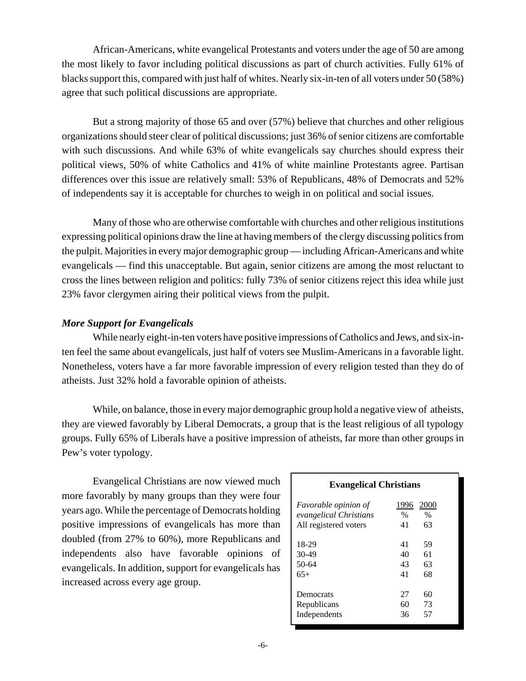African-Americans, white evangelical Protestants and voters under the age of 50 are among the most likely to favor including political discussions as part of church activities. Fully 61% of blacks support this, compared with just half of whites. Nearly six-in-ten of all voters under 50 (58%) agree that such political discussions are appropriate.

But a strong majority of those 65 and over (57%) believe that churches and other religious organizations should steer clear of political discussions; just 36% of senior citizens are comfortable with such discussions. And while 63% of white evangelicals say churches should express their political views, 50% of white Catholics and 41% of white mainline Protestants agree. Partisan differences over this issue are relatively small: 53% of Republicans, 48% of Democrats and 52% of independents say it is acceptable for churches to weigh in on political and social issues.

Many of those who are otherwise comfortable with churches and other religious institutions expressing political opinions draw the line at having members of the clergy discussing politics from the pulpit. Majorities in every major demographic group — including African-Americans and white evangelicals — find this unacceptable. But again, senior citizens are among the most reluctant to cross the lines between religion and politics: fully 73% of senior citizens reject this idea while just 23% favor clergymen airing their political views from the pulpit.

## *More Support for Evangelicals*

While nearly eight-in-ten voters have positive impressions of Catholics and Jews, and six-inten feel the same about evangelicals, just half of voters see Muslim-Americans in a favorable light. Nonetheless, voters have a far more favorable impression of every religion tested than they do of atheists. Just 32% hold a favorable opinion of atheists.

While, on balance, those in every major demographic group hold a negative view of atheists, they are viewed favorably by Liberal Democrats, a group that is the least religious of all typology groups. Fully 65% of Liberals have a positive impression of atheists, far more than other groups in Pew's voter typology.

Evangelical Christians are now viewed much more favorably by many groups than they were four years ago. While the percentage of Democrats holding positive impressions of evangelicals has more than doubled (from 27% to 60%), more Republicans and independents also have favorable opinions of evangelicals. In addition, support for evangelicals has increased across every age group.

| <i>Favorable opinion of</i> | 1996 | 2000 |
|-----------------------------|------|------|
| evangelical Christians      | $\%$ | $\%$ |
| All registered voters       | 41   | 63   |
| 18-29                       | 41   | 59   |
| 30-49                       | 40   | 61   |
| $50-64$                     | 43   | 63   |
| $65+$                       | 41   | 68   |
| Democrats                   | 27   | 60   |
| Republicans                 | 60   | 73   |
| Independents                | 36   | 57   |

**Evangelical Christians**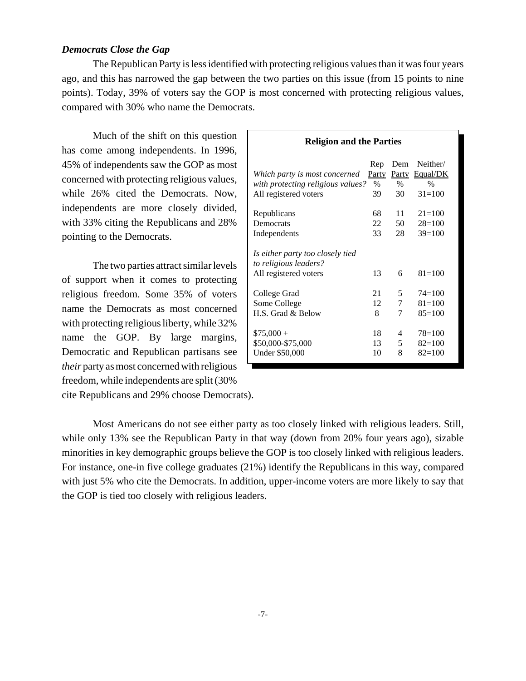#### *Democrats Close the Gap*

The Republican Party is less identified with protecting religious values than it was four years ago, and this has narrowed the gap between the two parties on this issue (from 15 points to nine points). Today, 39% of voters say the GOP is most concerned with protecting religious values, compared with 30% who name the Democrats.

Much of the shift on this question has come among independents. In 1996, 45% of independents saw the GOP as most concerned with protecting religious values, while 26% cited the Democrats. Now, independents are more closely divided, with 33% citing the Republicans and 28% pointing to the Democrats.

The two parties attract similar levels of support when it comes to protecting religious freedom. Some 35% of voters name the Democrats as most concerned with protecting religious liberty, while 32% name the GOP. By large margins, Democratic and Republican partisans see *their* party as most concerned with religious freedom, while independents are split (30% cite Republicans and 29% choose Democrats).

| Rengion and the Lattles                                                                     |                                   |                            |                                                     |
|---------------------------------------------------------------------------------------------|-----------------------------------|----------------------------|-----------------------------------------------------|
| Which party is most concerned<br>with protecting religious values?<br>All registered voters | Rep<br><b>Party</b><br>$\%$<br>39 | Dem<br>Party<br>$\%$<br>30 | Neither/<br>Equal/DK<br>$\frac{0}{0}$<br>$31 = 100$ |
| Republicans                                                                                 | 68                                | 11                         | $21 = 100$                                          |
| Democrats                                                                                   | 22                                | 50                         | $28=100$                                            |
| Independents                                                                                | 33                                | 28                         | $39=100$                                            |
| Is either party too closely tied<br>to religious leaders?<br>All registered voters          | 13                                | 6                          | $81 = 100$                                          |
| College Grad                                                                                | 21                                | 5                          | $74 = 100$                                          |
| Some College                                                                                | 12                                | 7                          | $81 = 100$                                          |
| H.S. Grad & Below                                                                           | 8                                 | 7                          | $85=100$                                            |
| $$75,000 +$                                                                                 | 18                                | 4                          | $78=100$                                            |
| \$50,000-\$75,000                                                                           | 13                                | 5                          | $82 = 100$                                          |
| <b>Under \$50,000</b>                                                                       | 10                                | 8                          | $82=100$                                            |

**Religion and the Parties**

Most Americans do not see either party as too closely linked with religious leaders. Still, while only 13% see the Republican Party in that way (down from 20% four years ago), sizable minorities in key demographic groups believe the GOP is too closely linked with religious leaders. For instance, one-in five college graduates (21%) identify the Republicans in this way, compared with just 5% who cite the Democrats. In addition, upper-income voters are more likely to say that the GOP is tied too closely with religious leaders.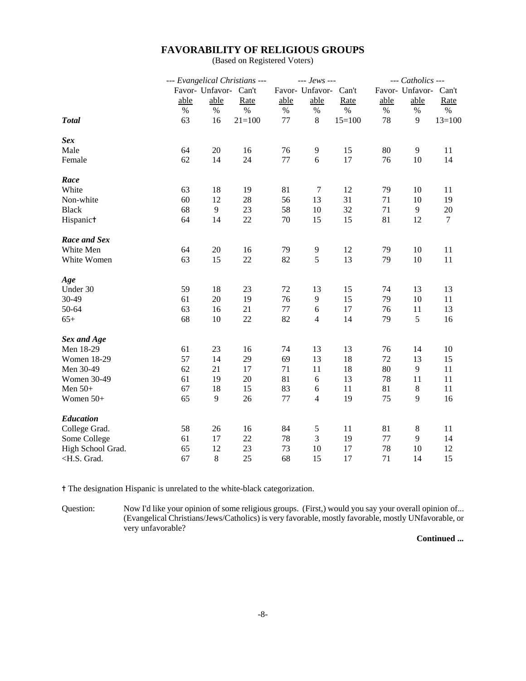## **FAVORABILITY OF RELIGIOUS GROUPS**

(Based on Registered Voters)

|                                                                                                                                 | --- Evangelical Christians --- |                 |            | $--$ Jews --- |                 | --- Catholics --- |      |                 |          |
|---------------------------------------------------------------------------------------------------------------------------------|--------------------------------|-----------------|------------|---------------|-----------------|-------------------|------|-----------------|----------|
|                                                                                                                                 |                                | Favor- Unfavor- | Can't      |               | Favor- Unfavor- | Can't             |      | Favor- Unfavor- | Can't    |
|                                                                                                                                 | able                           | able            | Rate       | able          | able            | Rate              | able | able            | Rate     |
|                                                                                                                                 | $\%$                           | $\%$            | $\%$       | $\%$          | $\%$            | $\%$              | $\%$ | $\%$            | $\%$     |
| <b>Total</b>                                                                                                                    | 63                             | 16              | $21 = 100$ | 77            | 8               | $15=100$          | 78   | 9               | $13=100$ |
| <b>Sex</b>                                                                                                                      |                                |                 |            |               |                 |                   |      |                 |          |
| Male                                                                                                                            | 64                             | 20              | 16         | 76            | $\overline{9}$  | 15                | 80   | 9               | 11       |
| Female                                                                                                                          | 62                             | 14              | 24         | 77            | 6               | 17                | 76   | 10              | 14       |
| Race                                                                                                                            |                                |                 |            |               |                 |                   |      |                 |          |
| White                                                                                                                           | 63                             | 18              | 19         | 81            | $\tau$          | 12                | 79   | 10              | 11       |
| Non-white                                                                                                                       | 60                             | 12              | 28         | 56            | 13              | 31                | 71   | 10              | 19       |
| <b>Black</b>                                                                                                                    | 68                             | $\overline{9}$  | 23         | 58            | 10              | 32                | 71   | $\mathbf{9}$    | 20       |
| Hispanict                                                                                                                       | 64                             | 14              | 22         | 70            | 15              | 15                | 81   | 12              | $\tau$   |
| Race and Sex                                                                                                                    |                                |                 |            |               |                 |                   |      |                 |          |
| White Men                                                                                                                       | 64                             | 20              | 16         | 79            | 9               | 12                | 79   | 10              | 11       |
| White Women                                                                                                                     | 63                             | 15              | 22         | 82            | 5               | 13                | 79   | 10              | 11       |
| Age                                                                                                                             |                                |                 |            |               |                 |                   |      |                 |          |
| Under 30                                                                                                                        | 59                             | 18              | 23         | 72            | 13              | 15                | 74   | 13              | 13       |
| 30-49                                                                                                                           | 61                             | 20              | 19         | 76            | 9               | 15                | 79   | 10              | 11       |
| 50-64                                                                                                                           | 63                             | 16              | 21         | 77            | $\sqrt{6}$      | 17                | 76   | 11              | 13       |
| $65+$                                                                                                                           | 68                             | 10              | 22         | 82            | $\overline{4}$  | 14                | 79   | 5               | 16       |
| <b>Sex and Age</b>                                                                                                              |                                |                 |            |               |                 |                   |      |                 |          |
| Men 18-29                                                                                                                       | 61                             | 23              | 16         | 74            | 13              | 13                | 76   | 14              | 10       |
| <b>Women 18-29</b>                                                                                                              | 57                             | 14              | 29         | 69            | 13              | 18                | 72   | 13              | 15       |
| Men 30-49                                                                                                                       | 62                             | 21              | 17         | 71            | 11              | 18                | 80   | 9               | 11       |
| <b>Women 30-49</b>                                                                                                              | 61                             | 19              | 20         | 81            | 6               | 13                | 78   | 11              | 11       |
| Men $50+$                                                                                                                       | 67                             | 18              | 15         | 83            | $\sqrt{6}$      | 11                | 81   | $\,8\,$         | 11       |
| Women 50+                                                                                                                       | 65                             | 9               | 26         | 77            | $\overline{4}$  | 19                | 75   | 9               | 16       |
| <b>Education</b>                                                                                                                |                                |                 |            |               |                 |                   |      |                 |          |
| College Grad.                                                                                                                   | 58                             | 26              | 16         | 84            | $\mathfrak s$   | 11                | 81   | 8               | 11       |
| Some College                                                                                                                    | 61                             | 17              | 22         | 78            | 3               | 19                | 77   | 9               | 14       |
| High School Grad.                                                                                                               | 65                             | 12              | 23         | 73            | 10              | 17                | 78   | 10              | 12       |
| <h.s. grad.<="" td=""><td>67</td><td>8</td><td>25</td><td>68</td><td>15</td><td>17</td><td>71</td><td>14</td><td>15</td></h.s.> | 67                             | 8               | 25         | 68            | 15              | 17                | 71   | 14              | 15       |

^ The designation Hispanic is unrelated to the white-black categorization.

Question: Now I'd like your opinion of some religious groups. (First,) would you say your overall opinion of... (Evangelical Christians/Jews/Catholics) is very favorable, mostly favorable, mostly UNfavorable, or very unfavorable?

**Continued ...**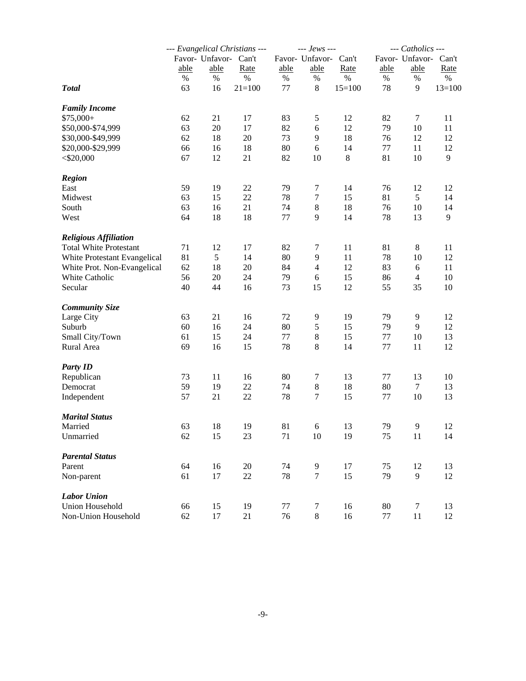|                               |      |                       | --- Evangelical Christians --- |         | --- Jews ---     |          |                 | --- Catholics --- |          |  |
|-------------------------------|------|-----------------------|--------------------------------|---------|------------------|----------|-----------------|-------------------|----------|--|
|                               |      | Favor- Unfavor- Can't |                                |         | Favor- Unfavor-  | Can't    | Favor- Unfavor- |                   | Can't    |  |
|                               | able | able                  | Rate                           | able    | able             | Rate     | able            | able              | Rate     |  |
|                               | $\%$ | %                     | $\%$                           | %       | $\%$             | $\%$     | %               | %                 | $\%$     |  |
| <b>Total</b>                  | 63   | 16                    | $21 = 100$                     | 77      | 8                | $15=100$ | 78              | 9                 | $13=100$ |  |
| <b>Family Income</b>          |      |                       |                                |         |                  |          |                 |                   |          |  |
| $$75,000+$                    | 62   | 21                    | 17                             | 83      | 5                | 12       | 82              | 7                 | 11       |  |
| \$50,000-\$74,999             | 63   | $20\,$                | 17                             | 82      | 6                | 12       | 79              | 10                | 11       |  |
| \$30,000-\$49,999             | 62   | 18                    | $20\,$                         | 73      | 9                | 18       | 76              | 12                | 12       |  |
| \$20,000-\$29,999             | 66   | 16                    | 18                             | 80      | 6                | 14       | 77              | 11                | 12       |  |
| $<$ \$20,000                  | 67   | 12                    | 21                             | 82      | 10               | 8        | 81              | 10                | 9        |  |
| <b>Region</b>                 |      |                       |                                |         |                  |          |                 |                   |          |  |
| East                          | 59   | 19                    | $22\,$                         | 79      | $\tau$           | 14       | 76              | 12                | 12       |  |
| Midwest                       | 63   | 15                    | 22                             | 78      | $\tau$           | 15       | 81              | 5                 | 14       |  |
| South                         | 63   | 16                    | 21                             | 74      | 8                | 18       | 76              | 10                | 14       |  |
| West                          | 64   | 18                    | 18                             | 77      | 9                | 14       | 78              | 13                | 9        |  |
| <b>Religious Affiliation</b>  |      |                       |                                |         |                  |          |                 |                   |          |  |
| <b>Total White Protestant</b> | 71   | 12                    | 17                             | 82      | 7                | 11       | 81              | 8                 | 11       |  |
| White Protestant Evangelical  | 81   | 5                     | 14                             | 80      | 9                | 11       | 78              | 10                | 12       |  |
| White Prot. Non-Evangelical   | 62   | 18                    | 20                             | 84      | $\overline{4}$   | 12       | 83              | 6                 | 11       |  |
| White Catholic                | 56   | $20\,$                | 24                             | 79      | 6                | 15       | 86              | $\overline{4}$    | 10       |  |
| Secular                       | 40   | 44                    | 16                             | 73      | 15               | 12       | 55              | 35                | 10       |  |
| <b>Community Size</b>         |      |                       |                                |         |                  |          |                 |                   |          |  |
| Large City                    | 63   | 21                    | 16                             | 72      | 9                | 19       | 79              | 9                 | 12       |  |
| Suburb                        | 60   | 16                    | 24                             | 80      | $\mathfrak s$    | 15       | 79              | 9                 | 12       |  |
| Small City/Town               | 61   | 15                    | 24                             | $77 \,$ | $\,8\,$          | 15       | 77              | 10                | 13       |  |
| Rural Area                    | 69   | 16                    | 15                             | 78      | 8                | 14       | 77              | 11                | 12       |  |
| <b>Party ID</b>               |      |                       |                                |         |                  |          |                 |                   |          |  |
| Republican                    | 73   | 11                    | 16                             | 80      | $\tau$           | 13       | 77              | 13                | 10       |  |
| Democrat                      | 59   | 19                    | 22                             | 74      | $\boldsymbol{8}$ | 18       | 80              | 7                 | 13       |  |
| Independent                   | 57   | 21                    | 22                             | 78      | $\tau$           | 15       | 77              | 10                | 13       |  |
| <b>Marital Status</b>         |      |                       |                                |         |                  |          |                 |                   |          |  |
| Married                       | 63   | 18                    | 19                             | 81      | 6                | 13       | 79              | 9                 | 12       |  |
| Unmarried                     | 62   | 15                    | 23                             | 71      | 10               | 19       | 75              | 11                | 14       |  |
| <b>Parental Status</b>        |      |                       |                                |         |                  |          |                 |                   |          |  |
| Parent                        | 64   | 16                    | $20\,$                         | 74      | $\overline{9}$   | 17       | 75              | 12                | 13       |  |
| Non-parent                    | 61   | 17                    | $22\,$                         | 78      | $\boldsymbol{7}$ | 15       | 79              | 9                 | 12       |  |
| <b>Labor Union</b>            |      |                       |                                |         |                  |          |                 |                   |          |  |
| <b>Union Household</b>        | 66   | 15                    | 19                             | 77      | $\overline{7}$   | 16       | 80              | $\tau$            | 13       |  |
| Non-Union Household           | 62   | 17                    | 21                             | 76      | $\,8\,$          | 16       | 77              | 11                | 12       |  |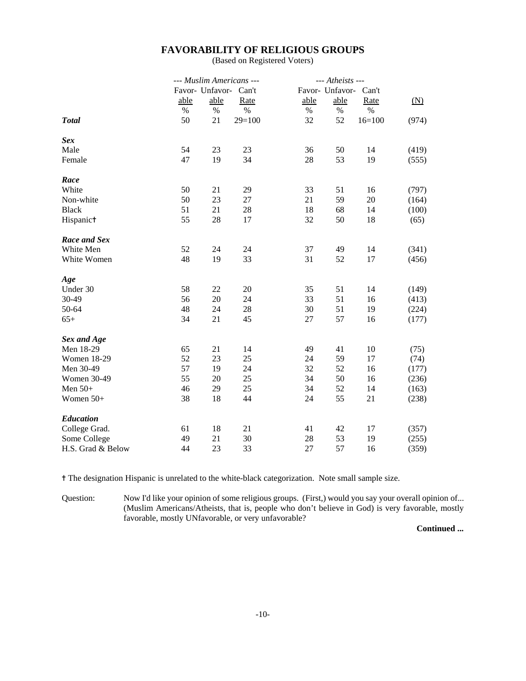## **FAVORABILITY OF RELIGIOUS GROUPS**

(Based on Registered Voters)

|                    | --- Muslim Americans --- |                 | --- Atheists --- |                       |      |          |       |
|--------------------|--------------------------|-----------------|------------------|-----------------------|------|----------|-------|
|                    |                          | Favor- Unfavor- | Can't            | Favor- Unfavor- Can't |      |          |       |
|                    | able                     | able            | Rate             | able                  | able | Rate     | (N)   |
|                    | $\%$                     | $\%$            | $\%$             | $\%$                  | %    | $\%$     |       |
| <b>Total</b>       | 50                       | 21              | $29=100$         | 32                    | 52   | $16=100$ | (974) |
| <b>Sex</b>         |                          |                 |                  |                       |      |          |       |
| Male               | 54                       | 23              | 23               | 36                    | 50   | 14       | (419) |
| Female             | 47                       | 19              | 34               | 28                    | 53   | 19       | (555) |
| Race               |                          |                 |                  |                       |      |          |       |
| White              | 50                       | 21              | 29               | 33                    | 51   | 16       | (797) |
| Non-white          | 50                       | 23              | 27               | 21                    | 59   | 20       | (164) |
| <b>Black</b>       | 51                       | 21              | 28               | 18                    | 68   | 14       | (100) |
| Hispanict          | 55                       | 28              | 17               | 32                    | 50   | 18       | (65)  |
| Race and Sex       |                          |                 |                  |                       |      |          |       |
| White Men          | 52                       | 24              | 24               | 37                    | 49   | 14       | (341) |
| White Women        | 48                       | 19              | 33               | 31                    | 52   | 17       | (456) |
| Age                |                          |                 |                  |                       |      |          |       |
| Under 30           | 58                       | 22              | 20               | 35                    | 51   | 14       | (149) |
| 30-49              | 56                       | 20              | 24               | 33                    | 51   | 16       | (413) |
| 50-64              | 48                       | 24              | 28               | 30                    | 51   | 19       | (224) |
| $65+$              | 34                       | 21              | 45               | 27                    | 57   | 16       | (177) |
| <b>Sex and Age</b> |                          |                 |                  |                       |      |          |       |
| Men 18-29          | 65                       | 21              | 14               | 49                    | 41   | 10       | (75)  |
| <b>Women 18-29</b> | 52                       | 23              | 25               | 24                    | 59   | 17       | (74)  |
| Men 30-49          | 57                       | 19              | 24               | 32                    | 52   | 16       | (177) |
| Women 30-49        | 55                       | 20              | 25               | 34                    | 50   | 16       | (236) |
| Men $50+$          | 46                       | 29              | 25               | 34                    | 52   | 14       | (163) |
| Women 50+          | 38                       | 18              | 44               | 24                    | 55   | 21       | (238) |
| Education          |                          |                 |                  |                       |      |          |       |
| College Grad.      | 61                       | 18              | 21               | 41                    | 42   | 17       | (357) |
| Some College       | 49                       | 21              | 30               | 28                    | 53   | 19       | (255) |
| H.S. Grad & Below  | 44                       | 23              | 33               | 27                    | 57   | 16       | (359) |

^ The designation Hispanic is unrelated to the white-black categorization. Note small sample size.

Question: Now I'd like your opinion of some religious groups. (First,) would you say your overall opinion of... (Muslim Americans/Atheists, that is, people who don't believe in God) is very favorable, mostly favorable, mostly UNfavorable, or very unfavorable?

**Continued ...**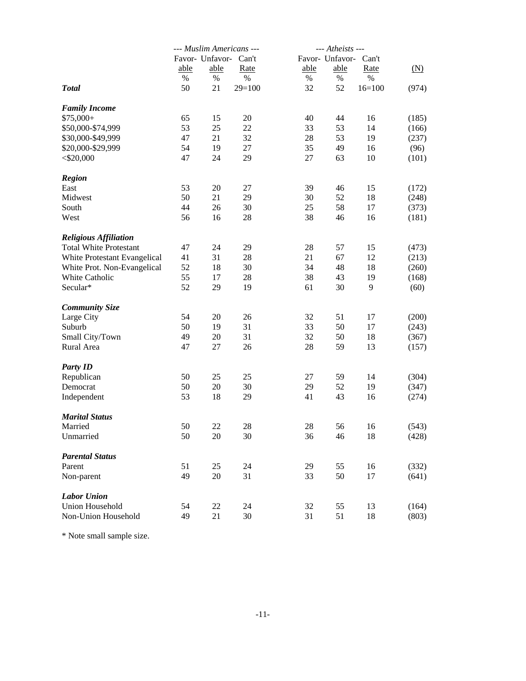|                               |      |                       | --- Muslim Americans --- | --- Atheists --- |                 |          |                   |
|-------------------------------|------|-----------------------|--------------------------|------------------|-----------------|----------|-------------------|
|                               |      | Favor- Unfavor- Can't |                          |                  | Favor- Unfavor- | Can't    |                   |
|                               | able | able                  | Rate                     | able             | able            | Rate     | $(\underline{N})$ |
|                               | %    | $\%$                  | $\%$                     | %                | $\%$            | $\%$     |                   |
| <b>Total</b>                  | 50   | 21                    | $29=100$                 | 32               | 52              | $16=100$ | (974)             |
| <b>Family Income</b>          |      |                       |                          |                  |                 |          |                   |
| $$75,000+$                    | 65   | 15                    | 20                       | 40               | 44              | 16       | (185)             |
| \$50,000-\$74,999             | 53   | 25                    | 22                       | 33               | 53              | 14       | (166)             |
| \$30,000-\$49,999             | 47   | 21                    | 32                       | 28               | 53              | 19       | (237)             |
| \$20,000-\$29,999             | 54   | 19                    | 27                       | 35               | 49              | 16       | (96)              |
| $<$ \$20,000                  | 47   | 24                    | 29                       | 27               | 63              | 10       | (101)             |
| <b>Region</b>                 |      |                       |                          |                  |                 |          |                   |
| East                          | 53   | 20                    | 27                       | 39               | 46              | 15       | (172)             |
| Midwest                       | 50   | 21                    | 29                       | 30               | 52              | 18       | (248)             |
| South                         | 44   | 26                    | 30                       | 25               | 58              | 17       | (373)             |
| West                          | 56   | 16                    | 28                       | 38               | 46              | 16       | (181)             |
| <b>Religious Affiliation</b>  |      |                       |                          |                  |                 |          |                   |
| <b>Total White Protestant</b> | 47   | 24                    | 29                       | 28               | 57              | 15       | (473)             |
| White Protestant Evangelical  | 41   | 31                    | 28                       | 21               | 67              | 12       | (213)             |
| White Prot. Non-Evangelical   | 52   | 18                    | 30                       | 34               | 48              | 18       | (260)             |
| White Catholic                | 55   | 17                    | 28                       | 38               | 43              | 19       | (168)             |
| Secular*                      | 52   | 29                    | 19                       | 61               | 30              | 9        | (60)              |
| <b>Community Size</b>         |      |                       |                          |                  |                 |          |                   |
| Large City                    | 54   | 20                    | 26                       | 32               | 51              | 17       | (200)             |
| Suburb                        | 50   | 19                    | 31                       | 33               | 50              | 17       | (243)             |
| Small City/Town               | 49   | 20                    | 31                       | 32               | 50              | 18       | (367)             |
| Rural Area                    | 47   | 27                    | 26                       | 28               | 59              | 13       | (157)             |
| <b>Party ID</b>               |      |                       |                          |                  |                 |          |                   |
| Republican                    | 50   | 25                    | 25                       | 27               | 59              | 14       | (304)             |
| Democrat                      | 50   | 20                    | 30                       | 29               | 52              | 19       | (347)             |
| Independent                   | 53   | 18                    | 29                       | 41               | 43              | 16       | (274)             |
| <b>Marital Status</b>         |      |                       |                          |                  |                 |          |                   |
| Married                       | 50   | 22                    | 28                       | 28               | 56              | 16       | (543)             |
| Unmarried                     | 50   | 20                    | 30                       | 36               | 46              | 18       | (428)             |
| <b>Parental Status</b>        |      |                       |                          |                  |                 |          |                   |
| Parent                        | 51   | 25                    | 24                       | 29               | 55              | 16       | (332)             |
| Non-parent                    | 49   | 20                    | 31                       | 33               | 50              | 17       | (641)             |
| <b>Labor Union</b>            |      |                       |                          |                  |                 |          |                   |
| Union Household               | 54   | 22                    | 24                       | 32               | 55              | 13       | (164)             |
| Non-Union Household           | 49   | 21                    | 30                       | 31               | 51              | 18       | (803)             |

\* Note small sample size.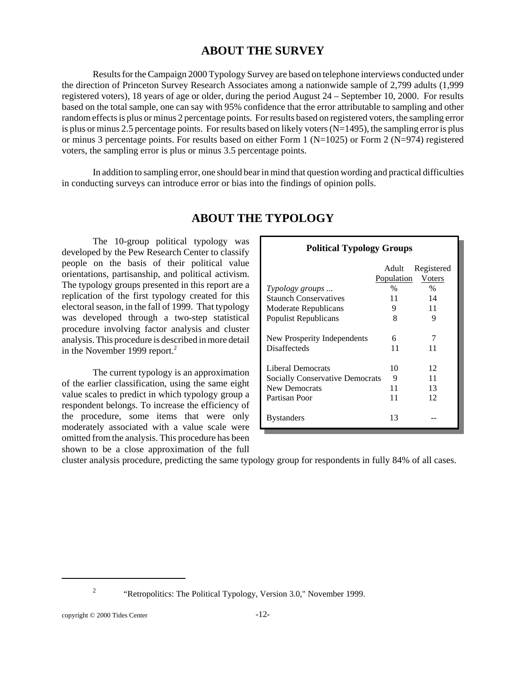## **ABOUT THE SURVEY**

Results for the Campaign 2000 Typology Survey are based on telephone interviews conducted under the direction of Princeton Survey Research Associates among a nationwide sample of 2,799 adults (1,999 registered voters), 18 years of age or older, during the period August 24 – September 10, 2000. For results based on the total sample, one can say with 95% confidence that the error attributable to sampling and other random effects is plus or minus 2 percentage points. For results based on registered voters, the sampling error is plus or minus 2.5 percentage points. For results based on likely voters  $(N=1495)$ , the sampling error is plus or minus 3 percentage points. For results based on either Form 1 ( $N=1025$ ) or Form 2 ( $N=974$ ) registered voters, the sampling error is plus or minus 3.5 percentage points.

In addition to sampling error, one should bear in mind that question wording and practical difficulties in conducting surveys can introduce error or bias into the findings of opinion polls.

## **ABOUT THE TYPOLOGY**

The 10-group political typology was developed by the Pew Research Center to classify people on the basis of their political value orientations, partisanship, and political activism. The typology groups presented in this report are a replication of the first typology created for this electoral season, in the fall of 1999. That typology was developed through a two-step statistical procedure involving factor analysis and cluster analysis. This procedure is described in more detail in the November 1999 report.<sup>2</sup>

The current typology is an approximation of the earlier classification, using the same eight value scales to predict in which typology group a respondent belongs. To increase the efficiency of the procedure, some items that were only moderately associated with a value scale were omitted from the analysis. This procedure has been shown to be a close approximation of the full

| <b>Political Typology Groups</b>       |            |               |  |  |  |  |  |
|----------------------------------------|------------|---------------|--|--|--|--|--|
|                                        | Adult      | Registered    |  |  |  |  |  |
|                                        | Population | Voters        |  |  |  |  |  |
| Typology groups                        | $\%$       | $\frac{0}{0}$ |  |  |  |  |  |
| <b>Staunch Conservatives</b>           | 11         | 14            |  |  |  |  |  |
| Moderate Republicans                   | 9          | 11            |  |  |  |  |  |
| Populist Republicans                   | 8          | 9             |  |  |  |  |  |
| New Prosperity Independents            | 6          | 7             |  |  |  |  |  |
| <b>Disaffecteds</b>                    | 11         | 11            |  |  |  |  |  |
| Liberal Democrats                      | 10         | 12            |  |  |  |  |  |
| <b>Socially Conservative Democrats</b> | 9          | 11            |  |  |  |  |  |
| <b>New Democrats</b>                   | 11         | 13            |  |  |  |  |  |
| Partisan Poor                          | 11         | 12            |  |  |  |  |  |
| <b>Bystanders</b>                      | 13         |               |  |  |  |  |  |

cluster analysis procedure, predicting the same typology group for respondents in fully 84% of all cases.

<sup>&</sup>lt;sup>2</sup> "Retropolitics: The Political Typology, Version 3.0," November 1999.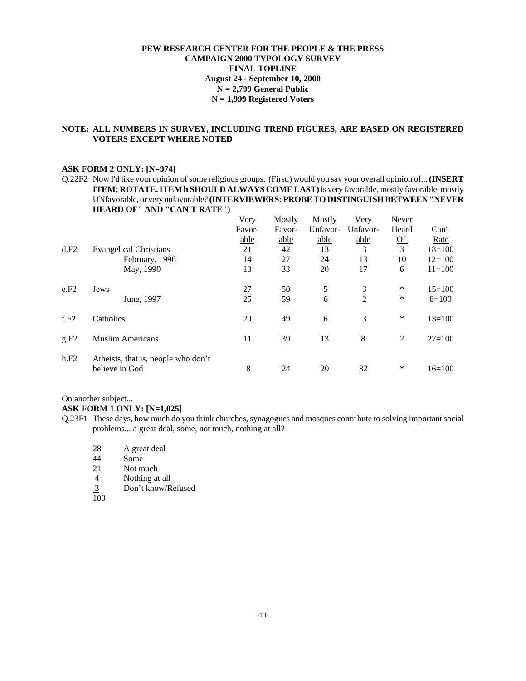#### **PEW RESEARCH CENTER FOR THE PEOPLE & THE PRESS CAMPAIGN 2000 TYPOLOGY SURVEY FINAL TOPLINE August 24 - September 10, 2000 N = 2,799 General Public N = 1,999 Registered Voters**

#### **NOTE: ALL NUMBERS IN SURVEY, INCLUDING TREND FIGURES, ARE BASED ON REGISTERED VOTERS EXCEPT WHERE NOTED**

#### **ASK FORM 2 ONLY: [N=974]**

Q.22F2 Now I'd like your opinion of some religious groups. (First,) would you say your overall opinion of... **(INSERT ITEM; ROTATE. ITEM h SHOULD ALWAYS COME LAST)** is very favorable, mostly favorable, mostly UNfavorable, or very unfavorable? **(INTERVIEWERS: PROBE TO DISTINGUISH BETWEEN "NEVER HEARD OF" AND "CAN'T RATE")**

|      |                                                       | Very   | Mostly | Mostly   | Very           | Never           |            |
|------|-------------------------------------------------------|--------|--------|----------|----------------|-----------------|------------|
|      |                                                       | Favor- | Favor- | Unfavor- | Unfavor-       | Heard           | Can't      |
|      |                                                       | able   | able   | able     | able           | $\overline{Of}$ | Rate       |
| d.F2 | <b>Evangelical Christians</b>                         | 21     | 42     | 13       | 3              | $\overline{3}$  | $18=100$   |
|      | February, 1996                                        | 14     | 27     | 24       | 13             | 10              | $12=100$   |
|      | May, 1990                                             | 13     | 33     | 20       | 17             | 6               | $11 = 100$ |
| e.F2 | Jews                                                  | 27     | 50     | 5        | 3              | ∗               | $15=100$   |
|      | June, 1997                                            | 25     | 59     | 6        | $\overline{2}$ | ∗               | $8=100$    |
| f.F2 | Catholics                                             | 29     | 49     | 6        | 3              | $\ast$          | $13 = 100$ |
| g.F2 | <b>Muslim Americans</b>                               | 11     | 39     | 13       | 8              | 2               | $27 = 100$ |
| h.F2 | Atheists, that is, people who don't<br>believe in God | 8      | 24     | 20       | 32             | ∗               | $16=100$   |

#### On another subject...

**ASK FORM 1 ONLY: [N=1,025]**

- Q.23F1 These days, how much do you think churches, synagogues and mosques contribute to solving important social problems... a great deal, some, not much, nothing at all?
	- 28 A great deal<br>44 Some
	- Some
	- 21 Not much<br>4 Nothing at
	- Nothing at all
	- 3 Don't know/Refused
	- 100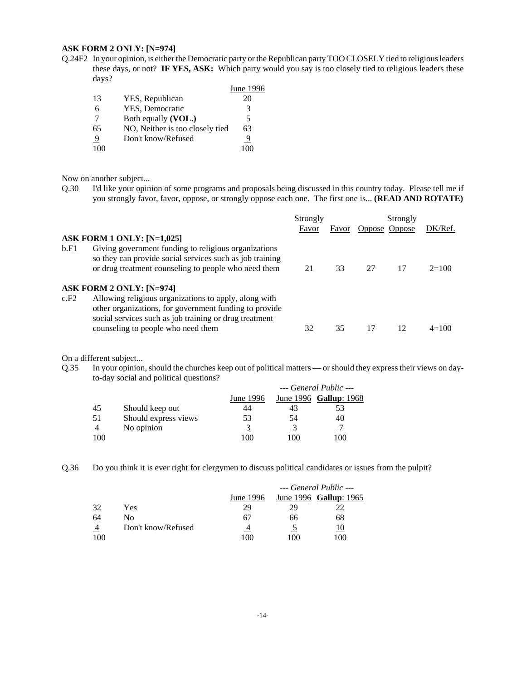#### **ASK FORM 2 ONLY: [N=974]**

Q.24F2 In your opinion, is either the Democratic party or the Republican party TOO CLOSELY tied to religious leaders these days, or not? **IF YES, ASK:** Which party would you say is too closely tied to religious leaders these days?

|                |                                 | June 1996 |
|----------------|---------------------------------|-----------|
| 13             | YES, Republican                 | 20        |
| 6              | YES, Democratic                 |           |
|                | Both equally (VOL.)             | 5         |
| 65             | NO, Neither is too closely tied | 63        |
| $\overline{9}$ | Don't know/Refused              | 9         |
|                |                                 |           |

Now on another subject...

Q.30 I'd like your opinion of some programs and proposals being discussed in this country today. Please tell me if you strongly favor, favor, oppose, or strongly oppose each one. The first one is... **(READ AND ROTATE)**

|      |                                                                                                                                                                          | Strongly |       | Strongly |               |         |
|------|--------------------------------------------------------------------------------------------------------------------------------------------------------------------------|----------|-------|----------|---------------|---------|
|      |                                                                                                                                                                          | Favor    | Favor |          | Oppose Oppose | DK/Ref. |
|      | <b>ASK FORM 1 ONLY: [N=1,025]</b>                                                                                                                                        |          |       |          |               |         |
| b.F1 | Giving government funding to religious organizations<br>so they can provide social services such as job training<br>or drug treatment counseling to people who need them | 21       | 33    | 27       | 17            | $2=100$ |
|      | ASK FORM 2 ONLY: [N=974]                                                                                                                                                 |          |       |          |               |         |
| c.F2 | Allowing religious organizations to apply, along with                                                                                                                    |          |       |          |               |         |
|      | other organizations, for government funding to provide<br>social services such as job training or drug treatment                                                         |          |       |          |               |         |
|      | counseling to people who need them                                                                                                                                       | 32       | 35    | 17       | 12            | $4=100$ |

On a different subject...

Q.35 In your opinion, should the churches keep out of political matters — or should they express their views on dayto-day social and political questions? *--- General Public ---*

|     |                      |           | --- General Public --- |                        |  |
|-----|----------------------|-----------|------------------------|------------------------|--|
|     |                      | June 1996 |                        | June 1996 Gallup: 1968 |  |
| -45 | Should keep out      | 44        | 43                     | 53                     |  |
| -51 | Should express views | 53        | 54                     | 40                     |  |
|     | No opinion           |           |                        |                        |  |
| 100 |                      | 100       | 100                    | 100                    |  |

Q.36 Do you think it is ever right for clergymen to discuss political candidates or issues from the pulpit?

|     |                    |           | --- General Public --- |                        |  |
|-----|--------------------|-----------|------------------------|------------------------|--|
|     |                    | June 1996 |                        | June 1996 Gallup: 1965 |  |
| 32  | Yes                | 29        | 29                     |                        |  |
| 64  | Nο                 | 67        | 66                     | 68                     |  |
| -4  | Don't know/Refused | 4         |                        |                        |  |
| 100 |                    | 100       | 100                    | 100                    |  |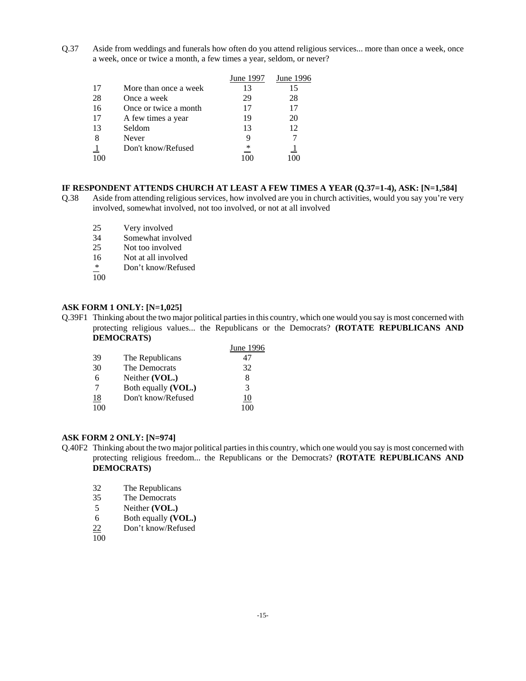Q.37 Aside from weddings and funerals how often do you attend religious services... more than once a week, once a week, once or twice a month, a few times a year, seldom, or never?

|    |                       | June 1997 | <b>June 1996</b> |
|----|-----------------------|-----------|------------------|
| 17 | More than once a week | 13        | 15               |
| 28 | Once a week           | 29        | 28               |
| 16 | Once or twice a month | 17        | 17               |
| 17 | A few times a year    | 19        | 20               |
| 13 | Seldom                | 13        | 12               |
|    | Never                 |           |                  |
|    | Don't know/Refused    | ∗         |                  |
|    |                       |           | 100              |

#### **IF RESPONDENT ATTENDS CHURCH AT LEAST A FEW TIMES A YEAR (Q.37=1-4), ASK: [N=1,584]**

- Q.38 Aside from attending religious services, how involved are you in church activities, would you say you're very involved, somewhat involved, not too involved, or not at all involved
	- 25 Very involved<br>34 Somewhat invo
	- Somewhat involved
	- 25 Not too involved
	- 16 Not at all involved
	- \* Don't know/Refused
	- 100

#### **ASK FORM 1 ONLY: [N=1,025]**

Q.39F1 Thinking about the two major political parties in this country, which one would you say is most concerned with protecting religious values... the Republicans or the Democrats? **(ROTATE REPUBLICANS AND DEMOCRATS)**

|           |                     | June 1996 |
|-----------|---------------------|-----------|
| 39        | The Republicans     | 47        |
| 30        | The Democrats       | 32        |
| 6         | Neither (VOL.)      | 8         |
|           | Both equally (VOL.) | 3         |
| <u>18</u> | Don't know/Refused  | 10        |
| 100       |                     |           |

#### **ASK FORM 2 ONLY: [N=974]**

- Q.40F2 Thinking about the two major political parties in this country, which one would you say is most concerned with protecting religious freedom... the Republicans or the Democrats? **(ROTATE REPUBLICANS AND DEMOCRATS)**
	- 32 The Republicans
	- 35 The Democrats<br>5 Neither (VOL.)
	- Neither **(VOL.)**
	- 6 Both equally **(VOL.)**
	- 22 Don't know/Refused
	- 100